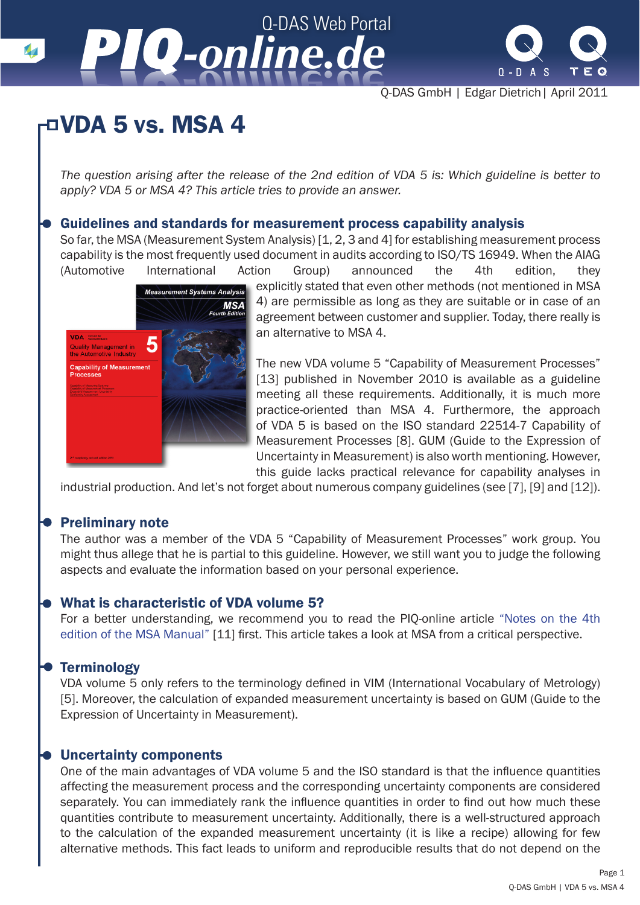# Q-DAS Web Portal *-online.de -online.de*



Q-DAS GmbH | Edgar Dietrich| April 2011

### VDA 5 vs. MSA 4

*The question arising after the release of the 2nd edition of VDA 5 is: Which guideline is better to apply? VDA 5 or MSA 4? This article tries to provide an answer.* 

#### Guidelines and standards for measurement process capability analysis

So far, the MSA (Measurement System Analysis) [1, 2, 3 and 4] for establishing measurement process capability is the most frequently used document in audits according to ISO/TS 16949. When the AIAG (Automotive International Action Group) announced the 4th edition, they



explicitly stated that even other methods (not mentioned in MSA 4) are permissible as long as they are suitable or in case of an agreement between customer and supplier. Today, there really is an alternative to MSA 4.

The new VDA volume 5 "Capability of Measurement Processes" [13] published in November 2010 is available as a guideline meeting all these requirements. Additionally, it is much more practice-oriented than MSA 4. Furthermore, the approach of VDA 5 is based on the ISO standard 22514-7 Capability of Measurement Processes [8]. GUM (Guide to the Expression of Uncertainty in Measurement) is also worth mentioning. However, this guide lacks practical relevance for capability analyses in

industrial production. And let's not forget about numerous company guidelines (see [7], [9] and [12]).

### Preliminary note

The author was a member of the VDA 5 "Capability of Measurement Processes" work group. You might thus allege that he is partial to this guideline. However, we still want you to judge the following aspects and evaluate the information based on your personal experience.

#### What is characteristic of VDA volume 5?

For a better understanding, we recommend you to read the PIQ-online article "Notes on the 4th edition of the MSA Manual" [11] first. This article takes a look at MSA from a critical perspective.

#### **Terminology**

VDA volume 5 only refers to the terminology defined in VIM (International Vocabulary of Metrology) [5]. Moreover, the calculation of expanded measurement uncertainty is based on GUM (Guide to the Expression of Uncertainty in Measurement).

#### Uncertainty components

One of the main advantages of VDA volume 5 and the ISO standard is that the influence quantities affecting the measurement process and the corresponding uncertainty components are considered separately. You can immediately rank the influence quantities in order to find out how much these quantities contribute to measurement uncertainty. Additionally, there is a well-structured approach to the calculation of the expanded measurement uncertainty (it is like a recipe) allowing for few alternative methods. This fact leads to uniform and reproducible results that do not depend on the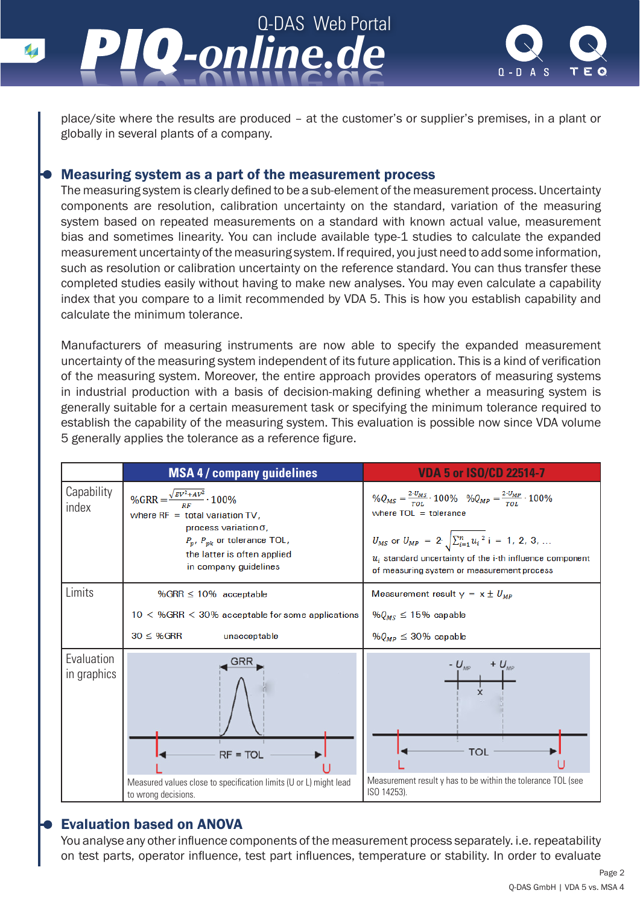



place/site where the results are produced – at the customer's or supplier's premises, in a plant or globally in several plants of a company.

#### Measuring system as a part of the measurement process

The measuring system is clearly defined to be a sub-element of the measurement process. Uncertainty components are resolution, calibration uncertainty on the standard, variation of the measuring system based on repeated measurements on a standard with known actual value, measurement bias and sometimes linearity. You can include available type-1 studies to calculate the expanded measurement uncertainty of the measuring system. If required, you just need to add some information, such as resolution or calibration uncertainty on the reference standard. You can thus transfer these completed studies easily without having to make new analyses. You may even calculate a capability index that you compare to a limit recommended by VDA 5. This is how you establish capability and calculate the minimum tolerance.

Manufacturers of measuring instruments are now able to specify the expanded measurement uncertainty of the measuring system independent of its future application. This is a kind of verification of the measuring system. Moreover, the entire approach provides operators of measuring systems in industrial production with a basis of decision-making defining whether a measuring system is generally suitable for a certain measurement task or specifying the minimum tolerance required to establish the capability of the measuring system. This evaluation is possible now since VDA volume 5 generally applies the tolerance as a reference figure.

|                           | <b>MSA 4/ company guidelines</b>                                                                                                                                                                       | <b>VDA 5 or ISO/CD 22514-7</b>                                                                                                                                                                                                                                                                                                  |  |  |
|---------------------------|--------------------------------------------------------------------------------------------------------------------------------------------------------------------------------------------------------|---------------------------------------------------------------------------------------------------------------------------------------------------------------------------------------------------------------------------------------------------------------------------------------------------------------------------------|--|--|
| Capability<br>index       | %GRR = $\frac{\sqrt{EV^2+AV^2}}{RF}$ · 100%<br>where $RF = total variation TV$ ,<br>process variation o,<br>$P_p$ , $P_{pk}$ or tolerance TOL,<br>the latter is often applied<br>in company guidelines | $\%Q_{MS} = \frac{2 \cdot U_{MS}}{T_{OL}} \cdot 100\%$ $\%Q_{MP} = \frac{2 \cdot U_{MP}}{T_{OL}} \cdot 100\%$<br>where $TOL = tolerance$<br>$U_{MS}$ or $U_{MP} = 2 \cdot \sqrt{\sum_{i=1}^{n} u_i^2}$ i = 1, 2, 3,<br>$u_i$ standard uncertainty of the i-th influence component<br>of measuring system or measurement process |  |  |
| Limits                    | % GRR $\leq 10\%$ acceptable                                                                                                                                                                           | Measurement result $y = x \pm U_{MP}$                                                                                                                                                                                                                                                                                           |  |  |
|                           | $10 <$ %GRR $<$ 30% acceptable for some applications                                                                                                                                                   | % $Q_{MS} \le 15\%$ capable                                                                                                                                                                                                                                                                                                     |  |  |
|                           | $30 \leq %GRR$<br>unacceptable                                                                                                                                                                         | % $Q_{MP} \leq 30\%$ capable                                                                                                                                                                                                                                                                                                    |  |  |
| Evaluation<br>in graphics | $RF = TOL$                                                                                                                                                                                             | $- U_{\mu\nu}$<br><b>TOL</b>                                                                                                                                                                                                                                                                                                    |  |  |
|                           | Measured values close to specification limits (U or L) might lead<br>to wrong decisions.                                                                                                               | Measurement result y has to be within the tolerance TOL (see<br>ISO 14253).                                                                                                                                                                                                                                                     |  |  |

### Evaluation based on ANOVA

You analyse any other influence components of the measurement process separately. i.e. repeatability on test parts, operator influence, test part influences, temperature or stability. In order to evaluate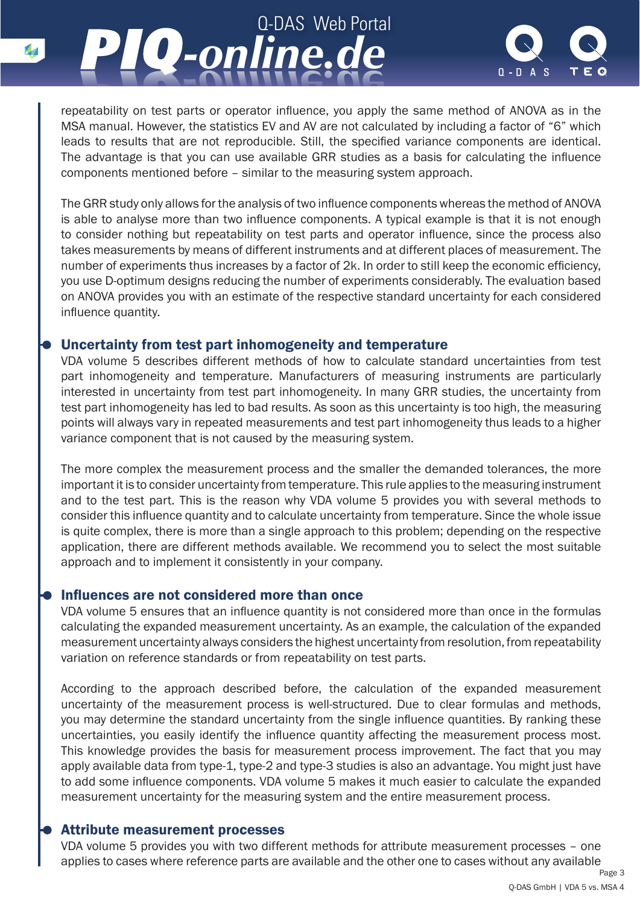

repeatability on test parts or operator influence, you apply the same method of ANOVA as in the MSA manual. However, the statistics EV and AV are not calculated by including a factor of "6" which leads to results that are not reproducible. Still, the specified variance components are identical. The advantage is that you can use available GRR studies as a basis for calculating the influence components mentioned before – similar to the measuring system approach.

Q-DAS Web Portal

*-online.de*

The GRR study only allows for the analysis of two influence components whereas the method of ANOVA is able to analyse more than two influence components. A typical example is that it is not enough to consider nothing but repeatability on test parts and operator influence, since the process also takes measurements by means of different instruments and at different places of measurement. The number of experiments thus increases by a factor of 2k. In order to still keep the economic efficiency, you use D-optimum designs reducing the number of experiments considerably. The evaluation based on ANOVA provides you with an estimate of the respective standard uncertainty for each considered influence quantity.

#### Uncertainty from test part inhomogeneity and temperature

*-online.de*

VDA volume 5 describes different methods of how to calculate standard uncertainties from test part inhomogeneity and temperature. Manufacturers of measuring instruments are particularly interested in uncertainty from test part inhomogeneity. In many GRR studies, the uncertainty from test part inhomogeneity has led to bad results. As soon as this uncertainty is too high, the measuring points will always vary in repeated measurements and test part inhomogeneity thus leads to a higher variance component that is not caused by the measuring system.

The more complex the measurement process and the smaller the demanded tolerances, the more important it is to consider uncertainty from temperature. This rule applies to the measuring instrument and to the test part. This is the reason why VDA volume 5 provides you with several methods to consider this influence quantity and to calculate uncertainty from temperature. Since the whole issue is quite complex, there is more than a single approach to this problem; depending on the respective application, there are different methods available. We recommend you to select the most suitable approach and to implement it consistently in your company.

#### Influences are not considered more than once

VDA volume 5 ensures that an influence quantity is not considered more than once in the formulas calculating the expanded measurement uncertainty. As an example, the calculation of the expanded measurement uncertainty always considers the highest uncertainty from resolution, from repeatability variation on reference standards or from repeatability on test parts.

According to the approach described before, the calculation of the expanded measurement uncertainty of the measurement process is well-structured. Due to clear formulas and methods, you may determine the standard uncertainty from the single influence quantities. By ranking these uncertainties, you easily identify the influence quantity affecting the measurement process most. This knowledge provides the basis for measurement process improvement. The fact that you may apply available data from type-1, type-2 and type-3 studies is also an advantage. You might just have to add some influence components. VDA volume 5 makes it much easier to calculate the expanded measurement uncertainty for the measuring system and the entire measurement process.

#### Attribute measurement processes

VDA volume 5 provides you with two different methods for attribute measurement processes – one applies to cases where reference parts are available and the other one to cases without any available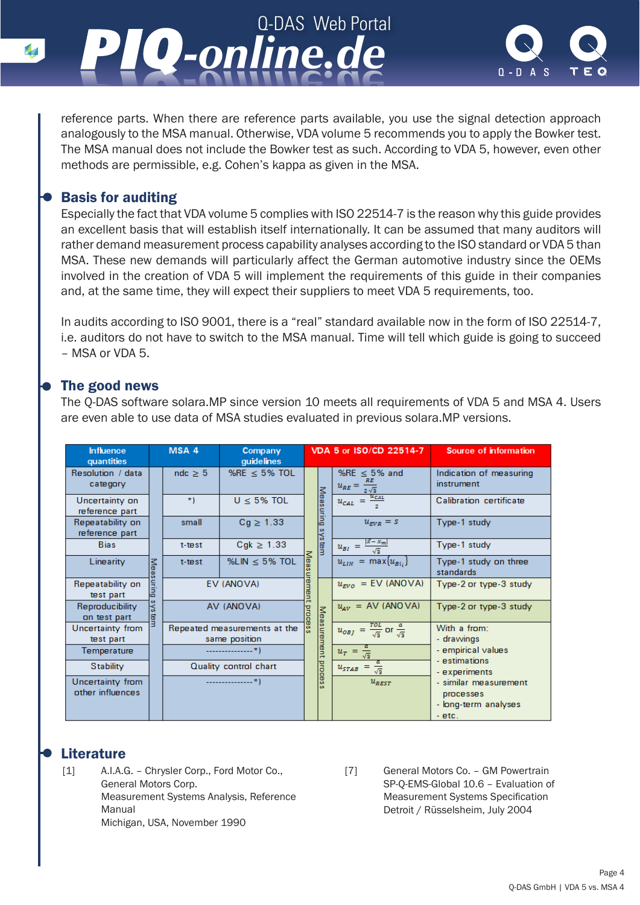



reference parts. When there are reference parts available, you use the signal detection approach analogously to the MSA manual. Otherwise, VDA volume 5 recommends you to apply the Bowker test. The MSA manual does not include the Bowker test as such. According to VDA 5, however, even other methods are permissible, e.g. Cohen's kappa as given in the MSA.

#### Basis for auditing

Especially the fact that VDA volume 5 complies with ISO 22514-7 is the reason why this guide provides an excellent basis that will establish itself internationally. It can be assumed that many auditors will rather demand measurement process capability analyses according to the ISO standard or VDA 5 than MSA. These new demands will particularly affect the German automotive industry since the OEMs involved in the creation of VDA 5 will implement the requirements of this guide in their companies and, at the same time, they will expect their suppliers to meet VDA 5 requirements, too.

In audits according to ISO 9001, there is a "real" standard available now in the form of ISO 22514-7, i.e. auditors do not have to switch to the MSA manual. Time will tell which guide is going to succeed – MSA or VDA 5.

#### The good news

The Q-DAS software solara.MP since version 10 meets all requirements of VDA 5 and MSA 4. Users are even able to use data of MSA studies evaluated in previous solara.MP versions.

| <b>Influence</b><br>quantities               |             | MSA 4        | Company<br>quidelines                         | VDA 5 or ISO/CD 22514-7 |                    |                                                                         | Source of information                                                  |
|----------------------------------------------|-------------|--------------|-----------------------------------------------|-------------------------|--------------------|-------------------------------------------------------------------------|------------------------------------------------------------------------|
| Resolution / data<br>category                |             | $ndc \geq 5$ | %RE $\le$ 5% TOL                              |                         |                    | % $RE \leq 5\%$ and<br>$u_{RE} = \frac{1}{2\sqrt{3}}$                   | Indication of measuring<br>instrument                                  |
| Uncertainty on<br>reference part             |             | $\ast$ )     | $U \leq 5\%$ TOL                              | Measuring<br>system     |                    | $u_{CAL} = \frac{u_{CAL}}{a}$                                           | Calibration certificate                                                |
| Repeatability on<br>reference part           |             | small        | $Cg \geq 1.33$                                |                         |                    | $u_{EVR} = s$                                                           | Type-1 study                                                           |
| <b>Bias</b>                                  |             | t-test       | $Cgk \geq 1.33$                               |                         |                    | $\frac{ x-x_m }{\sqrt{3}}$<br>$u_{BI}$ =<br>$u_{LIN} = \max\{u_{Bi}\}\$ | Type-1 study                                                           |
| Linearity                                    | <b>Meas</b> | t-test       | %LIN $\leq$ 5% TOL                            | Mea                     |                    |                                                                         | Type-1 study on three<br>standards                                     |
| Repeatability on<br>test part                | suring      |              | EV (ANOVA)                                    | urement                 |                    | $u_{EVO}$ = EV (ANOVA)                                                  | Type-2 or type-3 study                                                 |
| Reproducibility<br>on test part              | šYs<br>lar  |              | AV (ANOVA)                                    | process                 |                    | $u_{AV}$ = AV (ANOVA)                                                   | Type-2 or type-3 study                                                 |
| Uncertainty from<br>test part<br>Temperature |             |              | Repeated measurements at the<br>same position |                         | Measurement proces | $u_{OBJ} = \frac{rot}{\sqrt{3}}$ or $\frac{a}{\sqrt{3}}$                | With a from:<br>- drawings                                             |
|                                              |             |              |                                               |                         |                    | $u_T = \frac{1}{\sqrt{3}}$                                              | - empirical values<br>- estimations                                    |
| Stability                                    |             |              | Quality control chart                         |                         |                    | $u_{\text{STAB}} = \frac{1}{\sqrt{3}}$                                  | - experiments                                                          |
| Uncertainty from<br>other influences         |             |              |                                               |                         |                    | $u_{\text{REST}}$                                                       | - similar measurement<br>processes<br>- long-term analyses<br>$-$ etc. |

#### **Literature**

[1] A.I.A.G. – Chrysler Corp., Ford Motor Co., General Motors Corp. Measurement Systems Analysis, Reference Manual Michigan, USA, November 1990

[7] General Motors Co. – GM Powertrain SP-Q-EMS-Global 10.6 – Evaluation of Measurement Systems Specification Detroit / Rüsselsheim, July 2004